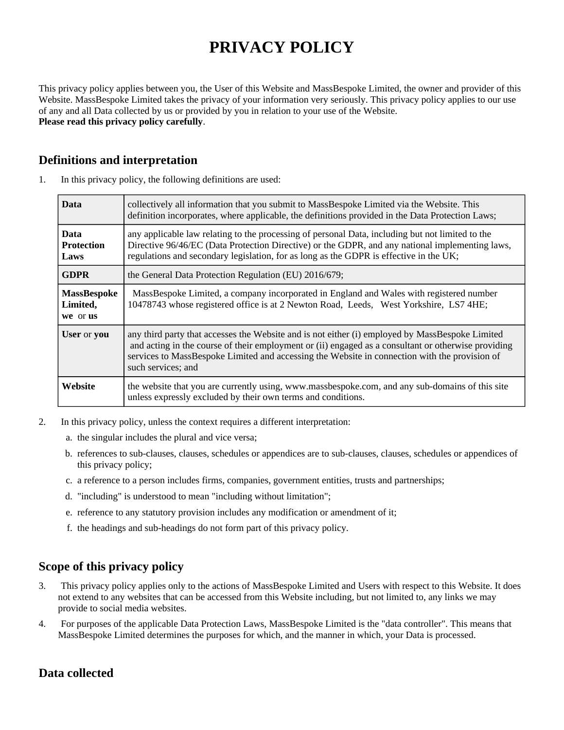# **PRIVACY POLICY**

This privacy policy applies between you, the User of this Website and MassBespoke Limited, the owner and provider of this Website. MassBespoke Limited takes the privacy of your information very seriously. This privacy policy applies to our use of any and all Data collected by us or provided by you in relation to your use of the Website. **Please read this privacy policy carefully**.

## **Definitions and interpretation**

| <b>Data</b>                                | collectively all information that you submit to MassBespoke Limited via the Website. This<br>definition incorporates, where applicable, the definitions provided in the Data Protection Laws;                                                                                                                                 |
|--------------------------------------------|-------------------------------------------------------------------------------------------------------------------------------------------------------------------------------------------------------------------------------------------------------------------------------------------------------------------------------|
| <b>Data</b><br><b>Protection</b><br>Laws   | any applicable law relating to the processing of personal Data, including but not limited to the<br>Directive 96/46/EC (Data Protection Directive) or the GDPR, and any national implementing laws,<br>regulations and secondary legislation, for as long as the GDPR is effective in the UK;                                 |
| <b>GDPR</b>                                | the General Data Protection Regulation (EU) 2016/679;                                                                                                                                                                                                                                                                         |
| <b>MassBespoke</b><br>Limited,<br>we or us | MassBespoke Limited, a company incorporated in England and Wales with registered number<br>10478743 whose registered office is at 2 Newton Road, Leeds, West Yorkshire, LS7 4HE;                                                                                                                                              |
| User or you                                | any third party that accesses the Website and is not either (i) employed by MassBespoke Limited<br>and acting in the course of their employment or (ii) engaged as a consultant or otherwise providing<br>services to MassBespoke Limited and accessing the Website in connection with the provision of<br>such services; and |

1. In this privacy policy, the following definitions are used:

- 2. In this privacy policy, unless the context requires a different interpretation:
	- a. the singular includes the plural and vice versa;
	- b. references to sub-clauses, clauses, schedules or appendices are to sub-clauses, clauses, schedules or appendices of this privacy policy;

**Website** the website that you are currently using, www.massbespoke.com, and any sub-domains of this site

c. a reference to a person includes firms, companies, government entities, trusts and partnerships;

unless expressly excluded by their own terms and conditions.

- d. "including" is understood to mean "including without limitation";
- e. reference to any statutory provision includes any modification or amendment of it;
- f. the headings and sub-headings do not form part of this privacy policy.

# **Scope of this privacy policy**

- 3. This privacy policy applies only to the actions of MassBespoke Limited and Users with respect to this Website. It does not extend to any websites that can be accessed from this Website including, but not limited to, any links we may provide to social media websites.
- 4. For purposes of the applicable Data Protection Laws, MassBespoke Limited is the "data controller". This means that MassBespoke Limited determines the purposes for which, and the manner in which, your Data is processed.

# **Data collected**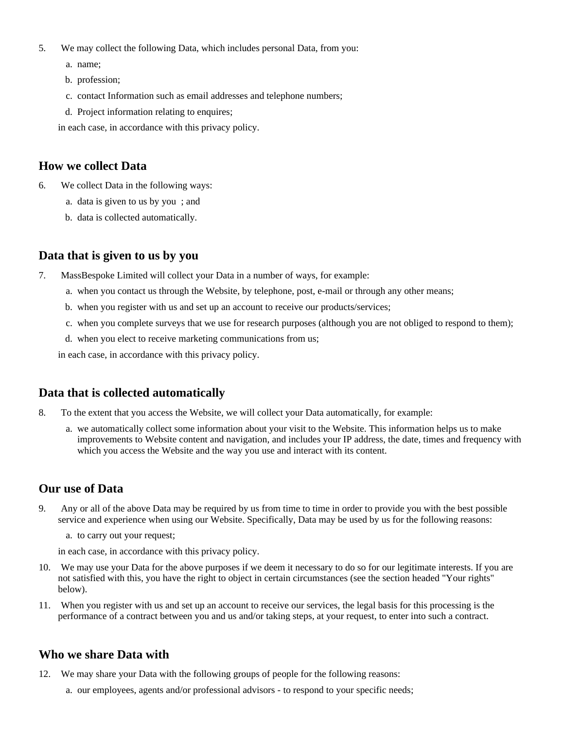- 5. We may collect the following Data, which includes personal Data, from you:
	- a. name;
	- b. profession;
	- c. contact Information such as email addresses and telephone numbers;
	- d. Project information relating to enquires;

in each case, in accordance with this privacy policy.

#### **How we collect Data**

- 6. We collect Data in the following ways:
	- a. data is given to us by you ; and
	- b. data is collected automatically.

#### **Data that is given to us by you**

- 7. MassBespoke Limited will collect your Data in a number of ways, for example:
	- a. when you contact us through the Website, by telephone, post, e-mail or through any other means;
	- b. when you register with us and set up an account to receive our products/services;
	- c. when you complete surveys that we use for research purposes (although you are not obliged to respond to them);
	- d. when you elect to receive marketing communications from us;

in each case, in accordance with this privacy policy.

#### **Data that is collected automatically**

- 8. To the extent that you access the Website, we will collect your Data automatically, for example:
	- a. we automatically collect some information about your visit to the Website. This information helps us to make improvements to Website content and navigation, and includes your IP address, the date, times and frequency with which you access the Website and the way you use and interact with its content.

#### **Our use of Data**

- 9. Any or all of the above Data may be required by us from time to time in order to provide you with the best possible service and experience when using our Website. Specifically, Data may be used by us for the following reasons:
	- a. to carry out your request;

in each case, in accordance with this privacy policy.

- 10. We may use your Data for the above purposes if we deem it necessary to do so for our legitimate interests. If you are not satisfied with this, you have the right to object in certain circumstances (see the section headed "Your rights" below).
- 11. When you register with us and set up an account to receive our services, the legal basis for this processing is the performance of a contract between you and us and/or taking steps, at your request, to enter into such a contract.

## **Who we share Data with**

- 12. We may share your Data with the following groups of people for the following reasons:
	- a. our employees, agents and/or professional advisors to respond to your specific needs;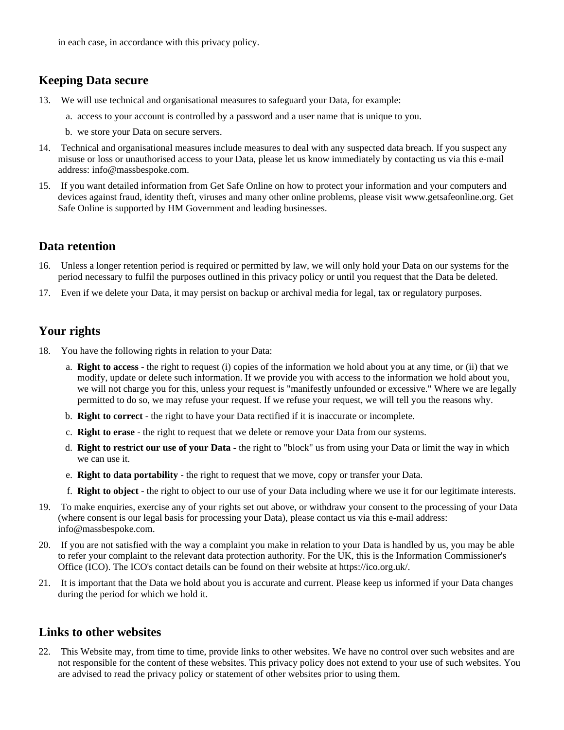in each case, in accordance with this privacy policy.

## **Keeping Data secure**

- 13. We will use technical and organisational measures to safeguard your Data, for example:
	- a. access to your account is controlled by a password and a user name that is unique to you.
	- b. we store your Data on secure servers.
- 14. Technical and organisational measures include measures to deal with any suspected data breach. If you suspect any misuse or loss or unauthorised access to your Data, please let us know immediately by contacting us via this e-mail address: info@massbespoke.com.
- 15. If you want detailed information from Get Safe Online on how to protect your information and your computers and devices against fraud, identity theft, viruses and many other online problems, please visit www.getsafeonline.org. Get Safe Online is supported by HM Government and leading businesses.

#### **Data retention**

- 16. Unless a longer retention period is required or permitted by law, we will only hold your Data on our systems for the period necessary to fulfil the purposes outlined in this privacy policy or until you request that the Data be deleted.
- 17. Even if we delete your Data, it may persist on backup or archival media for legal, tax or regulatory purposes.

## **Your rights**

- 18. You have the following rights in relation to your Data:
	- a. **Right to access** the right to request (i) copies of the information we hold about you at any time, or (ii) that we modify, update or delete such information. If we provide you with access to the information we hold about you, we will not charge you for this, unless your request is "manifestly unfounded or excessive." Where we are legally permitted to do so, we may refuse your request. If we refuse your request, we will tell you the reasons why.
	- b. **Right to correct** the right to have your Data rectified if it is inaccurate or incomplete.
	- c. **Right to erase** the right to request that we delete or remove your Data from our systems.
	- d. **Right to restrict our use of your Data** the right to "block" us from using your Data or limit the way in which we can use it.
	- e. **Right to data portability** the right to request that we move, copy or transfer your Data.
	- f. **Right to object** the right to object to our use of your Data including where we use it for our legitimate interests.
- 19. To make enquiries, exercise any of your rights set out above, or withdraw your consent to the processing of your Data (where consent is our legal basis for processing your Data), please contact us via this e-mail address: info@massbespoke.com.
- 20. If you are not satisfied with the way a complaint you make in relation to your Data is handled by us, you may be able to refer your complaint to the relevant data protection authority. For the UK, this is the Information Commissioner's Office (ICO). The ICO's contact details can be found on their website at https://ico.org.uk/.
- 21. It is important that the Data we hold about you is accurate and current. Please keep us informed if your Data changes during the period for which we hold it.

## **Links to other websites**

22. This Website may, from time to time, provide links to other websites. We have no control over such websites and are not responsible for the content of these websites. This privacy policy does not extend to your use of such websites. You are advised to read the privacy policy or statement of other websites prior to using them.